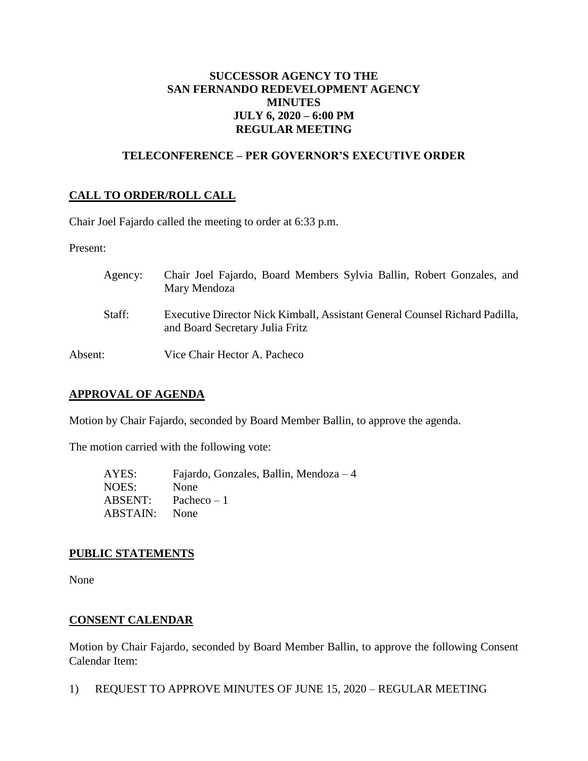# **SUCCESSOR AGENCY TO THE SAN FERNANDO REDEVELOPMENT AGENCY MINUTES JULY 6, 2020 – 6:00 PM REGULAR MEETING**

## **TELECONFERENCE – PER GOVERNOR'S EXECUTIVE ORDER**

# **CALL TO ORDER/ROLL CALL**

Chair Joel Fajardo called the meeting to order at 6:33 p.m.

Present:

| Agency: | Chair Joel Fajardo, Board Members Sylvia Ballin, Robert Gonzales, and<br>Mary Mendoza                          |
|---------|----------------------------------------------------------------------------------------------------------------|
| Staff:  | Executive Director Nick Kimball, Assistant General Counsel Richard Padilla,<br>and Board Secretary Julia Fritz |
| Absent: | Vice Chair Hector A. Pacheco                                                                                   |

### **APPROVAL OF AGENDA**

Motion by Chair Fajardo, seconded by Board Member Ballin, to approve the agenda.

The motion carried with the following vote:

| AYES:    | Fajardo, Gonzales, Ballin, Mendoza $-4$ |
|----------|-----------------------------------------|
| NOES:    | None                                    |
| ABSENT:  | Pacheco $-1$                            |
| ABSTAIN: | <b>None</b>                             |

### **PUBLIC STATEMENTS**

None

# **CONSENT CALENDAR**

Motion by Chair Fajardo, seconded by Board Member Ballin, to approve the following Consent Calendar Item:

1) REQUEST TO APPROVE MINUTES OF JUNE 15, 2020 – REGULAR MEETING